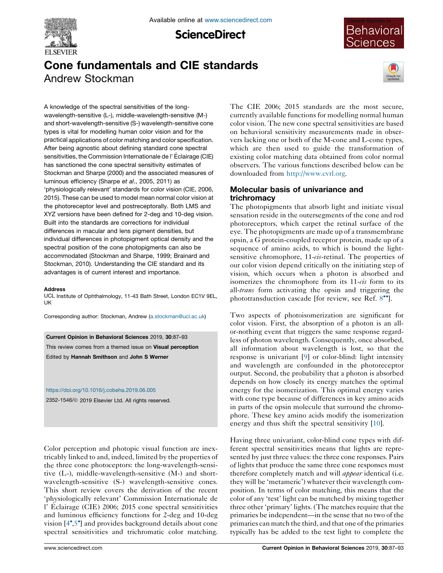

**ScienceDirect** 



# Cone fundamentals and CIE standards Andrew Stockman



A knowledge of the spectral sensitivities of the longwavelength-sensitive (L-), middle-wavelength-sensitive (M-) and short-wavelength-sensitive (S-) wavelength-sensitive cone types is vital for modelling human color vision and for the practical applications of color matching and color specification. After being agnostic about defining standard cone spectral sensitivities, the Commission Internationale de l'Éclairage (CIE) has sanctioned the cone spectral sensitivity estimates of Stockman and Sharpe (2000) and the associated measures of luminous efficiency (Sharpe et al., 2005, 2011) as 'physiologically relevant' standards for color vision (CIE, 2006, 2015). These can be used to model mean normal color vision at the photoreceptor level and postreceptorally. Both LMS and XYZ versions have been defined for 2-deg and 10-deg vision. Built into the standards are corrections for individual differences in macular and lens pigment densities, but individual differences in photopigment optical density and the spectral position of the cone photopigments can also be accommodated (Stockman and Sharpe, 1999; Brainard and Stockman, 2010). Understanding the CIE standard and its advantages is of current interest and importance.

#### Address

UCL Institute of Ophthalmology, 11-43 Bath Street, London EC1V 9EL, UK

Corresponding author: Stockman, Andrew ([a.stockman@ucl.ac.uk](mailto:a.stockman@ucl.ac.uk))

Current Opinion in Behavioral Sciences 2019, 30:87–93 This review comes from a themed issue on Visual perception Edited by Hannah Smithson and John S Werner

#### <https://doi.org/10.1016/j.cobeha.2019.06.005>

2352-1546/ã 2019 Elsevier Ltd. All rights reserved.

Color perception and photopic visual function are inextricably linked to and, indeed, limited by the properties of the three cone photoceptors: the long-wavelength-sensitive (L-), middle-wavelength-sensitive (M-) and shortwavelength-sensitive (S-) wavelength-sensitive cones. This short review covers the derivation of the recent 'physiologically relevant' Commission Internationale de l' Éclairage (CIE) 2006; 2015 cone spectral sensitivities and luminous efficiency functions for 2-deg and 10-deg vision [[4](#page-5-0) [,5](#page-5-0) ] and provides background details about cone spectral sensitivities and trichromatic color matching.

The CIE 2006; 2015 standards are the most secure, currently available functions for modelling normal human color vision. The new cone spectral sensitivities are based on behavioral sensitivity measurements made in observers lacking one or both of the M-cone and L-cone types, which are then used to guide the transformation of existing color matching data obtained from color normal observers. The various functions described below can be downloaded from <http://www.cvrl.org>.

# Molecular basis of univariance and trichromacy

The photopigments that absorb light and initiate visual sensation reside in the outersegments of the cone and rod photoreceptors, which carpet the retinal surface of the eye. The photopigments are made up of a transmembrane opsin, a G protein-coupled receptor protein, made up of a sequence of amino acids, to which is bound the lightsensitive chromophore, 11-*cis*-retinal. The properties of our color vision depend critically on the initiating step of vision, which occurs when a photon is absorbed and isomerizes the chromophore from its 11-cis form to its all-*trans* form activating the opsin and triggering the phototransduction cascade [for review, see Ref.  $8^{\bullet\bullet}$ ].

Two aspects of photoisomerization are significant for color vision. First, the absorption of a photon is an allor-nothing event that triggers the same response regardless of photon wavelength. Consequently, once absorbed, all information about wavelength is lost, so that the response is univariant [\[9](#page-5-0)] or color-blind: light intensity and wavelength are confounded in the photoreceptor output. Second, the probability that a photon is absorbed depends on how closely its energy matches the optimal energy for the isomerization. This optimal energy varies with cone type because of differences in key amino acids in parts of the opsin molecule that surround the chromophore. These key amino acids modify the isomerization energy and thus shift the spectral sensitivity [[10\]](#page-5-0).

Having three univariant, color-blind cone types with different spectral sensitivities means that lights are represented by just three values: the three cone responses. Pairs of lights that produce the same three cone responses must therefore completely match and will *appear* identical (i.e. they will be 'metameric') whatever their wavelength composition. In terms of color matching, this means that the color of any 'test' light can be matched by mixing together three other 'primary' lights. (The matches require that the primaries be independent—in the sense that no two of the primaries can match the third, and that one of the primaries typically has be added to the test light to complete the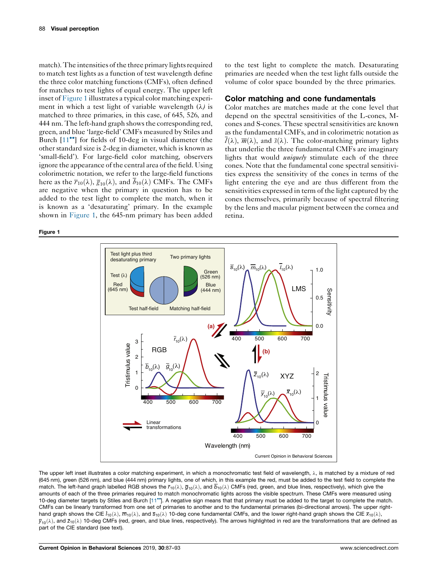<span id="page-1-0"></span>match). The intensities of the three primary lights required to match test lights as a function of test wavelength define the three color matching functions (CMFs), often defined for matches to test lights of equal energy. The upper left inset of Figure 1 illustrates a typical color matching experiment in which a test light of variable wavelength  $(\lambda)$  is matched to three primaries, in this case, of 645, 526, and 444 nm. The left-hand graph shows the corresponding red, green, and blue 'large-field' CMFs measured by Stiles and Burch  $[11\bullet]$  $[11\bullet]$  for fields of 10-deg in visual diameter (the other standard size is 2-deg in diameter, which is known as 'small-field'). For large-field color matching, observers ignore the appearance of the central area of the field. Using colorimetric notation, we refer to the large-field functions here as the  $\overline{r}_{10}(\lambda)$ ,  $\overline{g}_{10}(\lambda)$ , and  $\overline{b}_{10}(\lambda)$  CMFs. The CMFs are negative when the primary in question has to be added to the test light to complete the match, when it is known as a 'desaturating' primary. In the example shown in Figure 1, the 645-nm primary has been added

Figure 1

to the test light to complete the match. Desaturating primaries are needed when the test light falls outside the volume of color space bounded by the three primaries.

## Color matching and cone fundamentals

Color matches are matches made at the cone level that depend on the spectral sensitivities of the L-cones, Mcones and S-cones. These spectral sensitivities are known as the fundamental CMFs, and in colorimetric notation as  $\overline{l}(\lambda)$ ,  $\overline{m}(\lambda)$ , and  $\overline{s}(\lambda)$ . The color-matching primary lights that underlie the three fundamental CMFs are imaginary lights that would *uniquely* stimulate each of the three cones. Note that the fundamental cone spectral sensitivities express the sensitivity of the cones in terms of the light entering the eye and are thus different from the sensitivities expressed in term of the light captured by the cones themselves, primarily because of spectral filtering by the lens and macular pigment between the cornea and retina.



The upper left inset illustrates a color matching experiment, in which a monochromatic test field of wavelength,  $\lambda$ , is matched by a mixture of red (645 nm), green (526 nm), and blue (444 nm) primary lights, one of which, in this example the red, must be added to the test field to complete the match. The left-hand graph labelled RGB shows the  $\bar{r}_{10}(\lambda)$ ,  $\bar{g}_{10}(\lambda)$ , and  $\bar{b}_{10}(\lambda)$  CMFs (red, green, and blue lines, respectively), which give the amounts of each of the three primaries required to match monochromatic lights across the visible spectrum. These CMFs were measured using 10-deg diameter targets by Stiles and Burch [[11](#page-6-0)\*\*]. A negative sign means that that primary must be added to the target to complete the match. CMFs can be linearly transformed from one set of primaries to another and to the fundamental primaries (bi-directional arrows). The upper righthand graph shows the CIE  $\bar{I}_{10}(\lambda)$ ,  $\bar{m}_{10}(\lambda)$ , and  $\bar{S}_{10}(\lambda)$  10-deg cone fundamental CMFs, and the lower right-hand graph shows the CIE  $\bar{X}_{10}(\lambda)$ ,  $\overline{y}_{10}(\lambda)$ , and  $\overline{z}_{10}(\lambda)$  10-deg CMFs (red, green, and blue lines, respectively). The arrows highlighted in red are the transformations that are defined as part of the CIE standard (see text).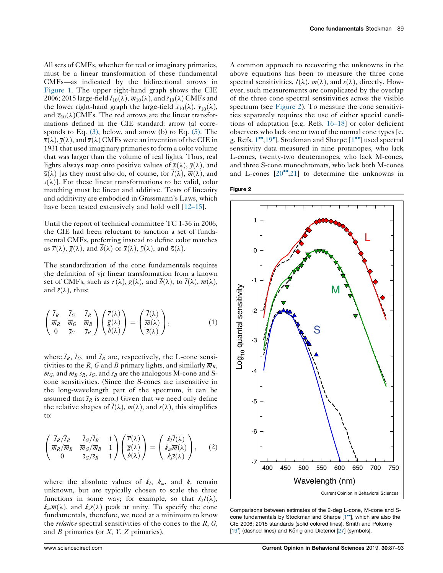<span id="page-2-0"></span>All sets of CMFs, whether for real or imaginary primaries, must be a linear transformation of these fundamental CMFs—as indicated by the bidirectional arrows in [Figure](#page-1-0) 1. The upper right-hand graph shows the CIE 2006; 2015 large-field  $\overline{l}_{10}(\lambda), \overline{m}_{10}(\lambda)$ , and  $\overline{s}_{10}(\lambda)$  CMFs and the lower right-hand graph the large-field  $\bar{x}_{10}(\lambda)$ ,  $\bar{y}_{10}(\lambda)$ , and  $\bar{\mathfrak{x}}_{10}(\lambda)$ CMFs. The red arrows are the linear transformations defined in the CIE standard: arrow (a) corresponds to Eq.  $(3)$ , below, and arrow (b) to Eq.  $(5)$ . The  $\bar{x}(\lambda), \bar{y}(\lambda)$ , and  $\bar{z}(\lambda)$  CMFs were an invention of the CIE in 1931 that used imaginary primaries to form a color volume that was larger than the volume of real lights. Thus, real lights always map onto positive values of  $\bar{x}(\lambda)$ ,  $\bar{y}(\lambda)$ , and  $\bar{z}(\lambda)$  [as they must also do, of course, for  $\bar{l}(\lambda)$ ,  $\bar{m}(\lambda)$ , and  $\bar{s}(\lambda)$ ]. For these linear transformations to be valid, color matching must be linear and additive. Tests of linearity and additivity are embodied in Grassmann's Laws, which have been tested extensively and hold well [[12–15\]](#page-6-0).

Until the report of technical committee TC 1-36 in 2006, the CIE had been reluctant to sanction a set of fundamental CMFs, preferring instead to define color matches as  $\overline{r}(\lambda)$ ,  $\overline{g}(\lambda)$ , and  $\overline{b}(\lambda)$  or  $\overline{x}(\lambda)$ ,  $\overline{y}(\lambda)$ , and  $\overline{z}(\lambda)$ .

The standardization of the cone fundamentals requires the definition of yjr linear transformation from a known set of CMFs, such as  $r(\lambda)$ ,  $\overline{g}(\lambda)$ , and  $\overline{b}(\lambda)$ , to  $\overline{l}(\lambda)$ ,  $\overline{m}(\lambda)$ , and  $\bar{s}(\lambda)$ , thus:

$$
\begin{pmatrix}\n\overline{I}_R & \overline{I}_G & \overline{I}_B \\
\overline{m}_R & \overline{m}_G & \overline{m}_B \\
0 & \overline{s}_G & \overline{s}_B\n\end{pmatrix}\n\begin{pmatrix}\n\overline{r}(\lambda) \\
\overline{g}(\lambda) \\
\overline{b}(\lambda)\n\end{pmatrix} =\n\begin{pmatrix}\n\overline{I}(\lambda) \\
\overline{m}(\lambda) \\
\overline{s}(\lambda)\n\end{pmatrix},
$$
\n(1)

where  $\bar{l}_R$ ,  $\bar{l}_G$ , and  $\bar{l}_B$  are, respectively, the L-cone sensitivities to the R, G and B primary lights, and similarly  $\overline{m}_R$ ,  $\overline{m}_G$ , and  $\overline{m}_B$   $\overline{s}_R$ ,  $\overline{s}_G$ , and  $\overline{s}_B$  are the analogous M-cone and Scone sensitivities. (Since the S-cones are insensitive in the long-wavelength part of the spectrum, it can be assumed that  $\bar{s}_R$  is zero.) Given that we need only define the relative shapes of  $\overline{l}(\lambda), \overline{m}(\lambda)$ , and  $\overline{s}(\lambda)$ , this simplifies to:

$$
\begin{pmatrix}\n\overline{I}_R/\overline{I}_B & \overline{I}_G/\overline{I}_B & 1 \\
\overline{m}_R/\overline{m}_B & \overline{m}_G/\overline{m}_B & 1 \\
0 & \overline{s}_G/\overline{s}_B & 1\n\end{pmatrix}\n\begin{pmatrix}\n\overline{r}(\lambda) \\
\overline{g}(\lambda) \\
\overline{b}(\lambda)\n\end{pmatrix} = \begin{pmatrix}\nk_I\overline{I}(\lambda) \\
k_m\overline{m}(\lambda) \\
k_S\overline{s}(\lambda)\n\end{pmatrix},
$$
\n(2)

where the absolute values of  $k_l$ ,  $k_m$ , and  $k_s$  remain unknown, but are typically chosen to scale the three functions in some way; for example, so that  $k_l / (\lambda)$ ,  $k_m\overline{m}(\lambda)$ , and  $k_s\overline{s}(\lambda)$  peak at unity. To specify the cone fundamentals, therefore, we need at a minimum to know the *relative* spectral sensitivities of the cones to the  $R$ ,  $G$ , and  $B$  primaries (or  $X$ ,  $Y$ ,  $Z$  primaries).

A common approach to recovering the unknowns in the above equations has been to measure the three cone spectral sensitivities,  $\overline{l}(\lambda)$ ,  $\overline{m}(\lambda)$ , and  $\overline{s}(\lambda)$ , directly. However, such measurements are complicated by the overlap of the three cone spectral sensitivities across the visible spectrum (see Figure 2). To measure the cone sensitivities separately requires the use of either special conditions of adaptation [e.g. Refs. [16–18\]](#page-6-0) or color deficient observers who lack one or two of the normal cone types [e. g. Refs. 1<sup>\*\*</sup>,[19](#page-6-0)<sup>°</sup>]. Stockman and Sharpe [1<sup>\*\*</sup>] used spectral sensitivity data measured in nine protanopes, who lack L-cones, twenty-two deuteranopes, who lack M-cones, and three S-cone monochromats, who lack both M-cones and L-cones  $[20^{\bullet\bullet}, 21]$  $[20^{\bullet\bullet}, 21]$  $[20^{\bullet\bullet}, 21]$  to determine the unknowns in

| mure<br>ı |
|-----------|
|-----------|



Comparisons between estimates of the 2-deg L-cone, M-cone and Scone fundamentals by Stockman and Sharpe [1<sup>•</sup>], which are also the CIE 2006; 2015 standards (solid colored lines), Smith and Pokorny [\[19](#page-6-0)<sup>°</sup>] (dashed lines) and König and Dieterici [[27](#page-6-0)] (symbols).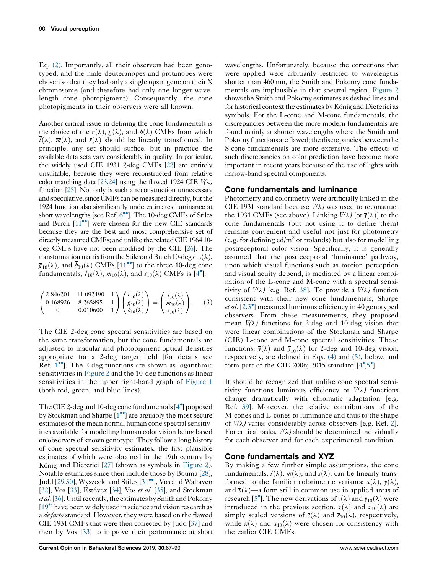<span id="page-3-0"></span>Eq. [\(2\)](#page-2-0). Importantly, all their observers had been genotyped, and the male deuteranopes and protanopes were chosen so that they had only a single opsin gene on their X chromosome (and therefore had only one longer wavelength cone photopigment). Consequently, the cone photopigments in their observers were all known.

Another critical issue in defining the cone fundamentals is the choice of the  $\overline{r}(\lambda)$ ,  $\overline{g}(\lambda)$ , and  $\overline{b}(\lambda)$  CMFs from which  $\overline{l}(\lambda)$ ,  $\overline{m}(\lambda)$ , and  $\overline{s}(\lambda)$  should be linearly transformed. In principle, any set should suffice, but in practice the available data sets vary considerably in quality. In particular, the widely used CIE 1931 2-deg CMFs [\[22\]](#page-6-0) are entirely unsuitable, because they were reconstructed from relative color matching data [[23,24](#page-6-0)] using the flawed 1924 CIE  $V(\lambda)$ function [\[25](#page-6-0)]. Not only is such a reconstruction unnecessary and speculative, since CMFs can be measured directly, but the 1924 function also significantly underestimates luminance at short wavelengths [see Ref. 6<sup>••</sup>]. The 10-deg CMFs of Stiles and Burch  $[11^{\bullet}]$  $[11^{\bullet}]$  were chosen for the new CIE standards because they are the best and most comprehensive set of directly measured CMFs; and unlike the related CIE 1964 10deg CMFs have not been modified by the CIE [\[26](#page-6-0)]. The transformation matrix from the Stiles and Burch 10-deg  $\overline{r}_{10}(\lambda)$ ,  $\overline{\mathcal{G}}_{10}(\lambda)$ , and  $\overline{\mathcal{b}}_{10}(\lambda)$  CMFs [\[11](#page-6-0)<sup>••</sup>] to the three 10-deg cone fundamentals,  $l_{10}(\lambda)$ ,  $\overline{m}_{10}(\lambda)$ , and  $\overline{s}_{10}(\lambda)$  CMFs is [\[4](#page-5-0)<sup>°</sup>]:

$$
\begin{pmatrix} 2.846201 & 11.092490 & 1 \ 0.168926 & 8.265895 & 1 \ 0 & 0.010600 & 1 \ \end{pmatrix} \begin{pmatrix} \overline{r}_{10}(\lambda) \\ \overline{\underline{g}}_{10}(\lambda) \\ \overline{b}_{10}(\lambda) \end{pmatrix} = \begin{pmatrix} \overline{I}_{10}(\lambda) \\ \overline{m}_{10}(\lambda) \\ \overline{s}_{10}(\lambda) \end{pmatrix}.
$$
 (3)

The CIE 2-deg cone spectral sensitivities are based on the same transformation, but the cone fundamentals are adjusted to macular and photopigment optical densities appropriate for a 2-deg target field [for details see Ref.  $1^{\bullet}$ . The 2-deg functions are shown as logarithmic sensitivities in [Figure](#page-2-0) 2 and the 10-deg functions as linear sensitivities in the upper right-hand graph of [Figure](#page-1-0) 1 (both red, green, and blue lines).

The CIE 2-deg and 10-deg cone fundamentals [[4](#page-5-0)<sup>°</sup>] proposed by Stockman and Sharpe  $[1^{\bullet}]$  are arguably the most secure estimates of the mean normal human cone spectral sensitivities available for modelling human color vision being based on observers of known genotype. They follow a long history of cone spectral sensitivity estimates, the first plausible estimates of which were obtained in the 19th century by König and Dieterici  $[27]$  $[27]$  $[27]$  (shown as symbols in [Figure](#page-2-0) 2). Notable estimates since then include those by Bouma [[28](#page-6-0)], Judd [\[29,30\]](#page-6-0), Wyszecki and Stiles [[31](#page-6-0)<sup>••</sup>], Vos and Walraven [\[32\]](#page-6-0), Vos [\[33\]](#page-6-0), Estévez [\[34](#page-6-0)], Vos et al. [\[35](#page-6-0)], and Stockman et al. [\[36\]](#page-6-0). Until recently, the estimates by Smith and Pokorny [\[19](#page-6-0) ] have beenwidely usedin science and vision research as a *de facto* standard. However, they were based on the flawed CIE 1931 CMFs that were then corrected by Judd [[37](#page-6-0)] and then by Vos [\[33\]](#page-6-0) to improve their performance at short wavelengths. Unfortunately, because the corrections that were applied were arbitrarily restricted to wavelengths shorter than 460 nm, the Smith and Pokorny cone fundamentals are implausible in that spectral region. [Figure](#page-2-0) 2 shows the Smith and Pokorny estimates as dashed lines and for historical context the estimates by König and Dieterici as symbols. For the L-cone and M-cone fundamentals, the discrepancies between the more modern fundamentals are found mainly at shorter wavelengths where the Smith and Pokorny functions are flawed; the discrepancies between the S-cone fundamentals are more extensive. The effects of such discrepancies on color prediction have become more important in recent years because of the use of lights with narrow-band spectral components.

# Cone fundamentals and luminance

Photometry and colorimetry were artificially linked in the CIE 1931 standard because  $V(\lambda)$  was used to reconstruct the 1931 CMFs (see above). Linking  $V(\lambda)$  [or  $\overline{v}(\lambda)$ ] to the cone fundamentals (but not using it to define them) remains convenient and useful not just for photometry (e.g. for defining  $cd/m^2$  or trolands) but also for modelling postreceptoral color vision. Specifically, it is generally assumed that the postreceptoral 'luminance' pathway, upon which visual functions such as motion perception and visual acuity depend, is mediated by a linear combination of the L-cone and M-cone with a spectral sensitivity of  $V(\lambda)$  [e.g. Ref. [38](#page-6-0)]. To provide a  $V(\lambda)$  function consistent with their new cone fundamentals, Sharpe et al. [\[2](#page-5-0),[3](#page-5-0)<sup>\*</sup>] measured luminous efficiency in 40 genotyped observers. From these measurements, they proposed mean  $V(\lambda)$  functions for 2-deg and 10-deg vision that were linear combinations of the Stockman and Sharpe (CIE) L-cone and M-cone spectral sensitivities. These functions,  $\bar{y}(\lambda)$  and  $\bar{y}_{10}(\lambda)$  for 2-deg and 10-deg vision, respectively, are defined in Eqs. [\(4\)](#page-4-0) and [\(5\),](#page-4-0) below, and form part of the CIE 2006; 2015 standard  $[4^{\bullet},5^{\bullet}]$  $[4^{\bullet},5^{\bullet}]$  $[4^{\bullet},5^{\bullet}]$  $[4^{\bullet},5^{\bullet}]$ .

It should be recognized that unlike cone spectral sensitivity functions luminous efficiency or  $V(\lambda)$  functions change dramatically with chromatic adaptation [e.g. Ref. [39\]](#page-6-0). Moreover, the relative contributions of the M-cones and L-cones to luminance and thus to the shape of  $V(\lambda)$  varies considerably across observers [e.g. Ref. [2](#page-5-0)]. For critical tasks,  $V(\lambda)$  should be determined individually for each observer and for each experimental condition.

# Cone fundamentals and XYZ

By making a few further simple assumptions, the cone fundamentals,  $l(\lambda)$ ,  $\overline{m}(\lambda)$ , and  $\overline{s}(\lambda)$ , can be linearly transformed to the familiar colorimetric variants:  $\bar{x}(\lambda)$ ,  $\bar{y}(\lambda)$ , and  $\overline{z}(\lambda)$ —a form still in common use in applied areas of research [\[5](#page-5-0)<sup>°</sup>]. The new derivations of  $\overline{y}(\lambda)$  and  $\overline{y}_{10}(\lambda)$  were introduced in the previous section.  $\overline{\mathbf{z}}(\lambda)$  and  $\overline{\mathbf{z}}_{10}(\lambda)$  are simply scaled versions of  $\bar{s}(\lambda)$  and  $\bar{s}_{10}(\lambda)$ , respectively, while  $\bar{x}(\lambda)$  and  $\bar{x}_{10}(\lambda)$  were chosen for consistency with the earlier CIE CMFs.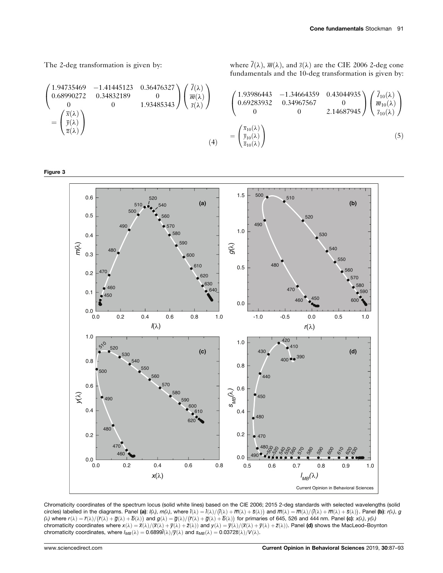<span id="page-4-0"></span>The 2-deg transformation is given by:

where  $\overline{l}(\lambda)$ ,  $\overline{m}(\lambda)$ , and  $\overline{s}(\lambda)$  are the CIE 2006 2-deg cone fundamentals and the 10-deg transformation is given by:

$$
\begin{pmatrix}\n1.94735469 & -1.41445123 & 0.36476327 \\
0.68990272 & 0.34832189 & 0 \\
0 & 0 & 1.93485343\n\end{pmatrix}\n\begin{pmatrix}\n\overline{q}(\lambda) \\
\overline{m}(\lambda) \\
\overline{s}(\lambda)\n\end{pmatrix}\n\begin{pmatrix}\n1.93986443 & -1.34664359 & 0.43044935 \\
0.69283932 & 0.34967567 & 0 \\
0 & 0 & 2.14687945\n\end{pmatrix}\n\begin{pmatrix}\n\overline{q}_{10}(\lambda) \\
\overline{m}_{10}(\lambda) \\
\overline{s}_{10}(\lambda)\n\end{pmatrix}
$$
\n
$$
=\begin{pmatrix}\n\overline{x}_{10}(\lambda) \\
\overline{y}_{10}(\lambda) \\
\overline{z}_{10}(\lambda)\n\end{pmatrix}
$$
\n(5)



Chromaticity coordinates of the spectrum locus (solid white lines) based on the CIE 2006; 2015 2-deg standards with selected wavelengths (solid circles) labelled in the diagrams. Panel **(a)**:  $l(\lambda)$ ,  $m(\lambda)$ , where  $\overline{l}(\lambda) = \overline{l}(\lambda) / (\overline{l}(\lambda) + \overline{m}(\lambda) + \overline{s}(\lambda))$  and  $\overline{m}(\lambda) = \overline{m}(\lambda) / (\overline{l}(\lambda) + \overline{m}(\lambda) + \overline{s}(\lambda))$ . Panel **(b)**:  $r(\lambda)$ , g ( $\lambda$ ) where  $r(\lambda)=\bar r(\lambda)/(\bar r(\lambda)+\bar g(\lambda)+\bar b(\lambda))$  and  $g(\lambda)=\bar g(\lambda)/(\bar r(\lambda)+\bar g(\lambda)+\bar b(\lambda))$  for primaries of 645, 526 and 444 nm. Panel (**c)**:  $x(\lambda), y(\lambda)$ chromaticity coordinates where  $x(\lambda) = \bar{x}(\lambda)/(x(\lambda) + \bar{y}(\lambda) + \bar{z}(\lambda))$  and  $y(\lambda) = \bar{y}(\lambda)/(x(\lambda) + \bar{y}(\lambda) + \bar{z}(\lambda))$ . Panel (d) shows the MacLeod–Boynton chromaticity coordinates, where  $I_{MB}(\lambda) = 0.6899\overline{I}(\lambda)/\overline{Y}(\lambda)$  and  $s_{MB}(\lambda) = 0.0372\overline{s}(\lambda)/V(\lambda)$ .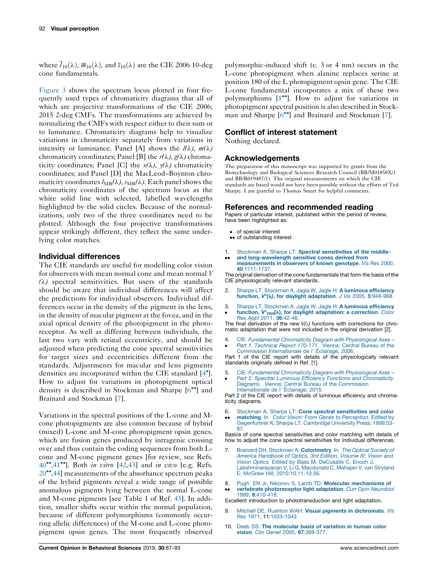<span id="page-5-0"></span>where  $\overline{l}_{10}(\lambda), \overline{m}_{10}(\lambda)$ , and  $\overline{s}_{10}(\lambda)$  are the CIE 2006 10-deg cone fundamentals.

[Figure](#page-4-0) 3 shows the spectrum locus plotted in four frequently used types of chromaticity diagrams that all of which are projective transformations of the CIE 2006: 2015 2-deg CMFs. The transformations are achieved by normalizing the CMFs with respect either to their sum or to luminance. Chromaticity diagrams help to visualize variations in chromaticity separately from variations in intensity or luminance. Panel [A] shows the  $l(\lambda)$ ,  $m(\lambda)$ chromaticity coordinates; Panel [B] the  $r(\lambda)$ ,  $g(\lambda)$  chromaticity coordinates; Panel [C] the  $x(\lambda)$ ,  $y(\lambda)$  chromaticity coordinates; and Panel [D] the MacLeod–Boynton chromaticity coordinates  $l_{MB}(\lambda)$ ,  $s_{MB}(\lambda)$ . Each panel shows the chromaticity coordinates of the spectrum locus as the white solid line with selected, labelled wavelengths highlighted by the solid circles. Because of the normalizations, only two of the three coordinates need to be plotted. Although the four projective transformations appear strikingly different, they reflect the same underlying color matches.

# Individual differences

The CIE standards are useful for modelling color vision for observers with mean normal cone and mean normal V  $(\lambda)$  spectral sensitivities. But users of the standards should be aware that individual differences will affect the predictions for individual observers. Individual differences occur in the density of the pigment in the lens, in the density of macular pigment at the fovea, and in the axial optical density of the photopigment in the photoreceptor. As well as differing between individuals, the last two vary with retinal eccentricity, and should be adjusted when predicting the cone spectral sensitivities for target sizes and eccentricities different from the standards. Adjustments for macular and lens pigments densities are incorporated within the CIE standard [4 ]. How to adjust for variations in photopigment optical density is described in Stockman and Sharpe [6<sup>••</sup>] and Brainard and Stockman [7].

Variations in the spectral positions of the L-cone and Mcone photopigments are also common because of hybrid (mixed) L-cone and M-cone photopigment opsin genes, which are fusion genes produced by intragenic crossing over and thus contain the coding sequences from both Lcone and M-cone pigment genes [for review, see Refs.  $40^{\bullet\bullet}, 41^{\bullet\bullet}$  $40^{\bullet\bullet}, 41^{\bullet\bullet}$ ]. Both *in vitro*  $[42, 43]$  and *in vivo* [e.g. Refs.  $20$ <sup> $\cdot$ </sup>[,44](#page-6-0)] measurements of the absorbance spectrum peaks of the hybrid pigments reveal a wide range of possible anomalous pigments lying between the normal L-cone and M-cone pigments [see Table 1 of Ref. [45\]](#page-6-0). In addition, smaller shifts occur within the normal population, because of different polymorphisms (commonly occurring allelic differences) of the M-cone and L-cone photopigment opsin genes. The most frequently observed

polymorphic-induced shift (c. 3 or 4 nm) occurs in the L-cone photopigment when alanine replaces serine at position 180 of the L photopigment opsin gene. The CIE L-cone fundamental incorporates a mix of these two polymorphisms  $[1^{\bullet}]$ . How to adjust for variations in photopigment spectral position is also described in Stockman and Sharpe  $[6^{\bullet\bullet}]$  and Brainard and Stockman [7].

# Conflict of interest statement

Nothing declared.

## Acknowledgements

The preparation of this manuscript was supported by grants from the Biotechnology and Biological Sciences Research Council (BB/M01858X/1 and BB/R019487/1). The original measurements on which the CIE standards are based would not have been possible without the efforts of Ted Sharpe. I am grateful to Thomas Smart for helpful comments.

### References and recommended reading

Papers of particular interest, published within the period of review, have been highlighted as:

- of special interest
- •• of outstanding interest
- 1. Stockman A, Sharpe LT: Spectral [sensitivities](http://refhub.elsevier.com/S2352-1546(19)30022-1/sbref0005) of the middle-
- $\ddot{\phantom{0}}$ and [long-wavelength](http://refhub.elsevier.com/S2352-1546(19)30022-1/sbref0005) sensitive cones derived from [measurements](http://refhub.elsevier.com/S2352-1546(19)30022-1/sbref0005) in observers of known genotype. Vis Res 2000, 40[:1711-1737.](http://refhub.elsevier.com/S2352-1546(19)30022-1/sbref0005)

The original derivation of the cone fundamentals that form the basis of the CIE physiologically relevant standards.

- 2. Sharpe LT, Stockman A, Jagla W, Jagle H: A luminous [efficiency](http://refhub.elsevier.com/S2352-1546(19)30022-1/sbref0010) function,  $V^*(\lambda)$ , for daylight [adaptation](http://refhub.elsevier.com/S2352-1546(19)30022-1/sbref0010). J Vis 2005, 5:948-968.
- 3. Sharpe LT, Stockman A, Jagla W, Jagle H: A luminous [efficiency](http://refhub.elsevier.com/S2352-1546(19)30022-1/sbref0015)
- $\bullet$ function, V\*<sub>D65</sub>( $\lambda$ ), for daylight [adaptation:](http://refhub.elsevier.com/S2352-1546(19)30022-1/sbref0015) a correction. Color Res Appl 2011, 36[:42-46.](http://refhub.elsevier.com/S2352-1546(19)30022-1/sbref0015)

The final derivation of the new  $V(\lambda)$  functions with corrections for chromatic adaptation that were not included in the original derivation [2].

- 4. CIE: Fundamental Chromaticity Diagram with [Physiological](http://refhub.elsevier.com/S2352-1546(19)30022-1/sbref0020) Axes –
- $\bullet$ Part 1. [Technical](http://refhub.elsevier.com/S2352-1546(19)30022-1/sbref0020) Report 170-171. Vienna: Central Bureau of the Commission [Internationale](http://refhub.elsevier.com/S2352-1546(19)30022-1/sbref0020) de l'Éclairage; 2006.

Part 1 of the CIE report with details of the physiologically relevant standards originally defined in Ref. [1].

- 5. CIE: Fundamental Chromaticity Diagram with [Physiological](http://refhub.elsevier.com/S2352-1546(19)30022-1/sbref0025) Axes –
- $\bullet$ Part 2. Spectral Luminous Efficiency Functions and [Chromaticity](http://refhub.elsevier.com/S2352-1546(19)30022-1/sbref0025) [Diagrams](http://refhub.elsevier.com/S2352-1546(19)30022-1/sbref0025). Vienna: Central Bureau of the Commission<br>Internationale de l' Éclairage; 2015.

Part 2 of the CIE report with details of luminous efficiency and chromaticity diagrams.

- 6. Stockman A, Sharpe LT: Cone spectral [sensitivities](http://refhub.elsevier.com/S2352-1546(19)30022-1/sbref0030) and color
- $\bullet \bullet$ matching. In Color Vision: From Genes to [Perception.](http://refhub.elsevier.com/S2352-1546(19)30022-1/sbref0030) Edited by [Gegenfurtner](http://refhub.elsevier.com/S2352-1546(19)30022-1/sbref0030) K, Sharpe LT. Cambridge University Press; 1999:53- [87.](http://refhub.elsevier.com/S2352-1546(19)30022-1/sbref0030)

Basics of cone spectral sensitivities and color matching with details of how to adjust the cone spectral sensitivities for individual differences.

- Brainard DH, Stockman A: [Colorimetry](http://refhub.elsevier.com/S2352-1546(19)30022-1/sbref0035). In The Optical Society of America [Handbook](http://refhub.elsevier.com/S2352-1546(19)30022-1/sbref0035) of Optics, 3rd Edition, Volume III: Vision and Vision Optics. Edited by Bass M, [DeCusatis](http://refhub.elsevier.com/S2352-1546(19)30022-1/sbref0035) C, Enoch J, [Lakshminarayanan](http://refhub.elsevier.com/S2352-1546(19)30022-1/sbref0035) V, Li G, Macdonald C, Mahajan V, van Stryland E. McGraw Hill; [2010:10.11-10.56](http://refhub.elsevier.com/S2352-1546(19)30022-1/sbref0035).
- 8. Pugh EN Jr, Nikonov S, Lamb TD: Molecular [mechanisms](http://refhub.elsevier.com/S2352-1546(19)30022-1/sbref0040) of
- $\bullet\bullet$ vertebrate [photoreceptor](http://refhub.elsevier.com/S2352-1546(19)30022-1/sbref0040) light adaptation. Curr Opin Neurobiol 1999, 9[:410-418.](http://refhub.elsevier.com/S2352-1546(19)30022-1/sbref0040)

Excellent introduction to phototransduction and light adaptation.

- 9. Mitchell DE, Rushton WAH: Visual pigments in [dichromats](http://refhub.elsevier.com/S2352-1546(19)30022-1/sbref0045). Vis Res 1971, 11[:1033-1043.](http://refhub.elsevier.com/S2352-1546(19)30022-1/sbref0045)
- 10. Deeb SS: The [molecular](http://refhub.elsevier.com/S2352-1546(19)30022-1/sbref0050) basis of variation in human color vision. Clin Genet 2005, 67[:369-377.](http://refhub.elsevier.com/S2352-1546(19)30022-1/sbref0050)